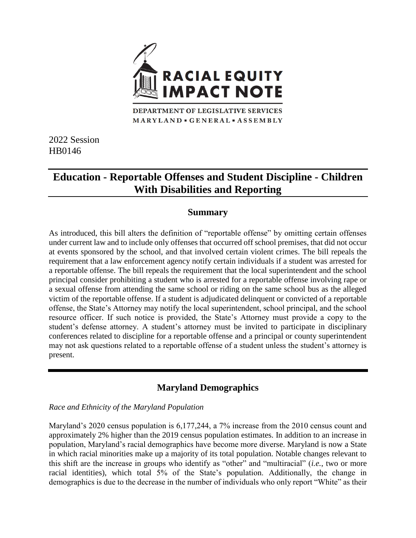

MARYLAND · GENERAL · ASSEMBLY

2022 Session HB0146

# **Education - Reportable Offenses and Student Discipline - Children With Disabilities and Reporting**

# **Summary**

As introduced, this bill alters the definition of "reportable offense" by omitting certain offenses under current law and to include only offenses that occurred off school premises, that did not occur at events sponsored by the school, and that involved certain violent crimes. The bill repeals the requirement that a law enforcement agency notify certain individuals if a student was arrested for a reportable offense. The bill repeals the requirement that the local superintendent and the school principal consider prohibiting a student who is arrested for a reportable offense involving rape or a sexual offense from attending the same school or riding on the same school bus as the alleged victim of the reportable offense. If a student is adjudicated delinquent or convicted of a reportable offense, the State's Attorney may notify the local superintendent, school principal, and the school resource officer. If such notice is provided, the State's Attorney must provide a copy to the student's defense attorney. A student's attorney must be invited to participate in disciplinary conferences related to discipline for a reportable offense and a principal or county superintendent may not ask questions related to a reportable offense of a student unless the student's attorney is present.

# **Maryland Demographics**

### *Race and Ethnicity of the Maryland Population*

Maryland's 2020 census population is 6,177,244, a 7% increase from the 2010 census count and approximately 2% higher than the 2019 census population estimates. In addition to an increase in population, Maryland's racial demographics have become more diverse. Maryland is now a State in which racial minorities make up a majority of its total population. Notable changes relevant to this shift are the increase in groups who identify as "other" and "multiracial" (*i.e.*, two or more racial identities), which total 5% of the State's population. Additionally, the change in demographics is due to the decrease in the number of individuals who only report "White" as their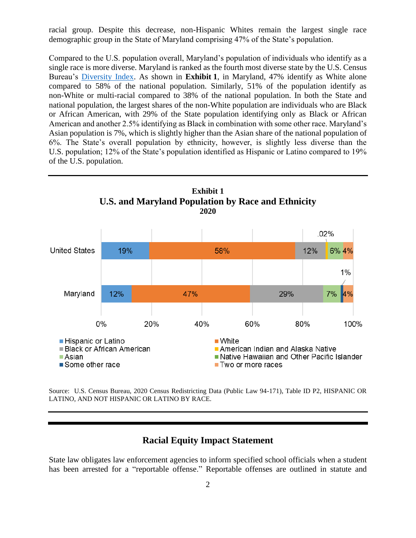racial group. Despite this decrease, non-Hispanic Whites remain the largest single race demographic group in the State of Maryland comprising 47% of the State's population.

Compared to the U.S. population overall, Maryland's population of individuals who identify as a single race is more diverse. Maryland is ranked as the fourth most diverse state by the U.S. Census Bureau's [Diversity Index.](https://www.census.gov/library/visualizations/interactive/racial-and-ethnic-diversity-in-the-united-states-2010-and-2020-census.html) As shown in **Exhibit 1**, in Maryland, 47% identify as White alone compared to 58% of the national population. Similarly, 51% of the population identify as non-White or multi-racial compared to 38% of the national population. In both the State and national population, the largest shares of the non-White population are individuals who are Black or African American, with 29% of the State population identifying only as Black or African American and another 2.5% identifying as Black in combination with some other race. Maryland's Asian population is 7%, which is slightly higher than the Asian share of the national population of 6%. The State's overall population by ethnicity, however, is slightly less diverse than the U.S. population; 12% of the State's population identified as Hispanic or Latino compared to 19% of the U.S. population.



Source: U.S. Census Bureau, 2020 Census Redistricting Data (Public Law 94-171), Table ID P2, HISPANIC OR LATINO, AND NOT HISPANIC OR LATINO BY RACE.

### **Racial Equity Impact Statement**

State law obligates law enforcement agencies to inform specified school officials when a student has been arrested for a "reportable offense." Reportable offenses are outlined in statute and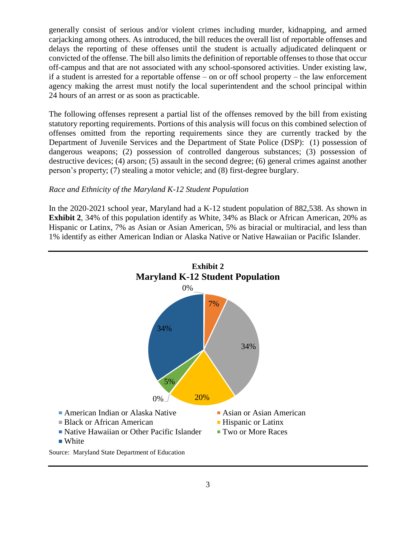generally consist of serious and/or violent crimes including murder, kidnapping, and armed carjacking among others. As introduced, the bill reduces the overall list of reportable offenses and delays the reporting of these offenses until the student is actually adjudicated delinquent or convicted of the offense. The bill also limits the definition of reportable offenses to those that occur off-campus and that are not associated with any school-sponsored activities. Under existing law, if a student is arrested for a reportable offense – on or off school property – the law enforcement agency making the arrest must notify the local superintendent and the school principal within 24 hours of an arrest or as soon as practicable.

The following offenses represent a partial list of the offenses removed by the bill from existing statutory reporting requirements. Portions of this analysis will focus on this combined selection of offenses omitted from the reporting requirements since they are currently tracked by the Department of Juvenile Services and the Department of State Police (DSP): (1) possession of dangerous weapons; (2) possession of controlled dangerous substances; (3) possession of destructive devices; (4) arson; (5) assault in the second degree; (6) general crimes against another person's property; (7) stealing a motor vehicle; and (8) first-degree burglary.

#### *Race and Ethnicity of the Maryland K-12 Student Population*

In the 2020-2021 school year, Maryland had a K-12 student population of 882,538. As shown in **Exhibit 2**, 34% of this population identify as White, 34% as Black or African American, 20% as Hispanic or Latinx, 7% as Asian or Asian American, 5% as biracial or multiracial, and less than 1% identify as either American Indian or Alaska Native or Native Hawaiian or Pacific Islander.

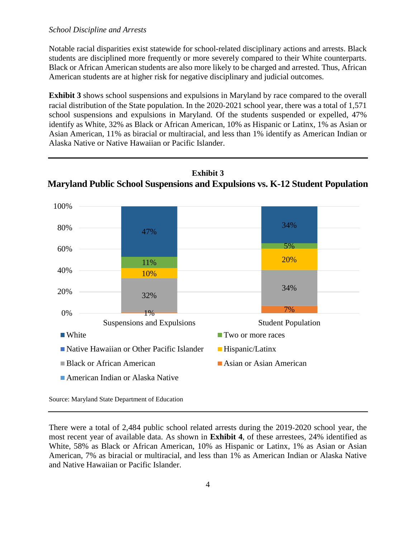### *School Discipline and Arrests*

Notable racial disparities exist statewide for school-related disciplinary actions and arrests. Black students are disciplined more frequently or more severely compared to their White counterparts. Black or African American students are also more likely to be charged and arrested. Thus, African American students are at higher risk for negative disciplinary and judicial outcomes.

**Exhibit 3** shows school suspensions and expulsions in Maryland by race compared to the overall racial distribution of the State population. In the 2020-2021 school year, there was a total of 1,571 school suspensions and expulsions in Maryland. Of the students suspended or expelled, 47% identify as White, 32% as Black or African American, 10% as Hispanic or Latinx, 1% as Asian or Asian American, 11% as biracial or multiracial, and less than 1% identify as American Indian or Alaska Native or Native Hawaiian or Pacific Islander.



## **Exhibit 3 Maryland Public School Suspensions and Expulsions vs. K-12 Student Population**

Source: Maryland State Department of Education

There were a total of 2,484 public school related arrests during the 2019-2020 school year, the most recent year of available data. As shown in **Exhibit 4**, of these arrestees, 24% identified as White, 58% as Black or African American, 10% as Hispanic or Latinx, 1% as Asian or Asian American, 7% as biracial or multiracial, and less than 1% as American Indian or Alaska Native and Native Hawaiian or Pacific Islander.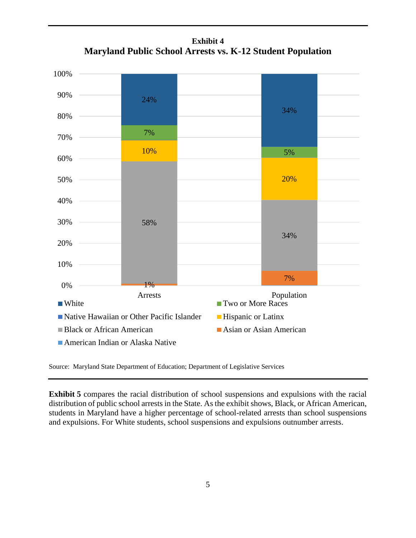

**Exhibit 4 Maryland Public School Arrests vs. K-12 Student Population**

Source: Maryland State Department of Education; Department of Legislative Services

**Exhibit 5** compares the racial distribution of school suspensions and expulsions with the racial distribution of public school arrests in the State. As the exhibit shows, Black, or African American, students in Maryland have a higher percentage of school-related arrests than school suspensions and expulsions. For White students, school suspensions and expulsions outnumber arrests.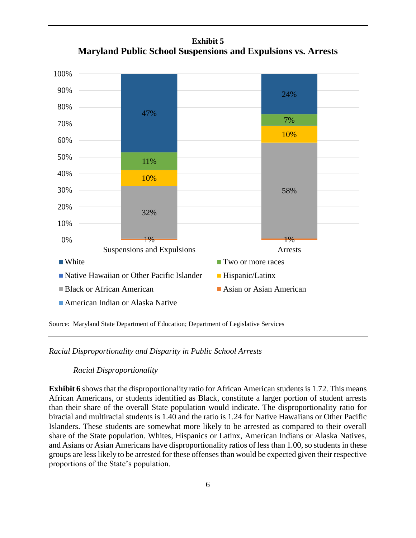**Exhibit 5 Maryland Public School Suspensions and Expulsions vs. Arrests**



Source: Maryland State Department of Education; Department of Legislative Services

*Racial Disproportionality and Disparity in Public School Arrests*

#### *Racial Disproportionality*

**Exhibit 6** shows that the disproportionality ratio for African American students is 1.72. This means African Americans, or students identified as Black, constitute a larger portion of student arrests than their share of the overall State population would indicate. The disproportionality ratio for biracial and multiracial students is 1.40 and the ratio is 1.24 for Native Hawaiians or Other Pacific Islanders. These students are somewhat more likely to be arrested as compared to their overall share of the State population. Whites, Hispanics or Latinx, American Indians or Alaska Natives, and Asians or Asian Americans have disproportionality ratios of less than 1.00, so students in these groups are lesslikely to be arrested for these offenses than would be expected given their respective proportions of the State's population.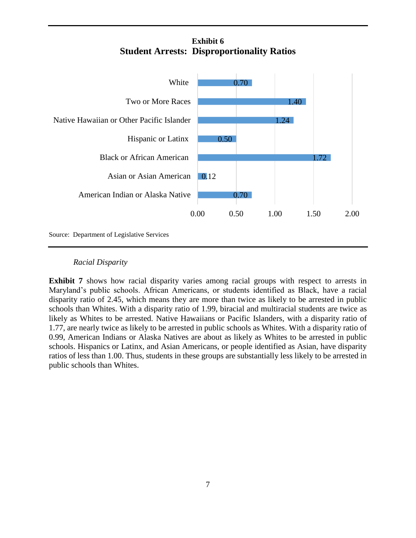# **Exhibit 6 Student Arrests: Disproportionality Ratios**



### *Racial Disparity*

**Exhibit 7** shows how racial disparity varies among racial groups with respect to arrests in Maryland's public schools. African Americans, or students identified as Black, have a racial disparity ratio of 2.45, which means they are more than twice as likely to be arrested in public schools than Whites. With a disparity ratio of 1.99, biracial and multiracial students are twice as likely as Whites to be arrested. Native Hawaiians or Pacific Islanders, with a disparity ratio of 1.77, are nearly twice as likely to be arrested in public schools as Whites. With a disparity ratio of 0.99, American Indians or Alaska Natives are about as likely as Whites to be arrested in public schools. Hispanics or Latinx, and Asian Americans, or people identified as Asian, have disparity ratios of less than 1.00. Thus, students in these groups are substantially less likely to be arrested in public schools than Whites.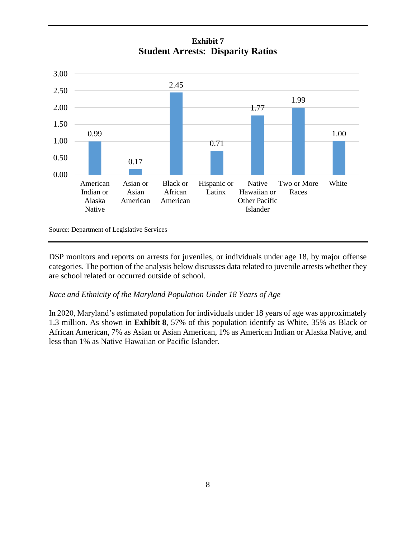**Exhibit 7 Student Arrests: Disparity Ratios**



Source: Department of Legislative Services

DSP monitors and reports on arrests for juveniles, or individuals under age 18, by major offense categories. The portion of the analysis below discusses data related to juvenile arrests whether they are school related or occurred outside of school.

### *Race and Ethnicity of the Maryland Population Under 18 Years of Age*

In 2020, Maryland's estimated population for individuals under 18 years of age was approximately 1.3 million. As shown in **Exhibit 8**, 57% of this population identify as White, 35% as Black or African American, 7% as Asian or Asian American, 1% as American Indian or Alaska Native, and less than 1% as Native Hawaiian or Pacific Islander.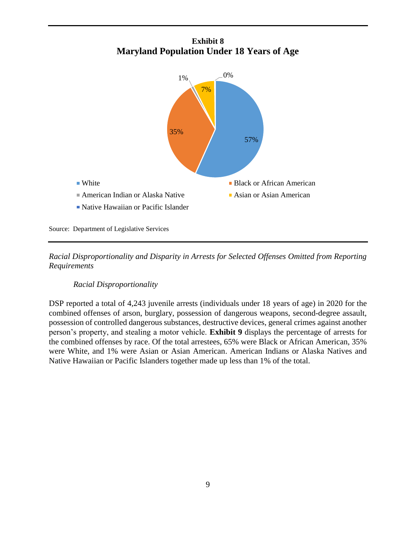



Source: Department of Legislative Services

*Racial Disproportionality and Disparity in Arrests for Selected Offenses Omitted from Reporting Requirements* 

#### *Racial Disproportionality*

DSP reported a total of 4,243 juvenile arrests (individuals under 18 years of age) in 2020 for the combined offenses of arson, burglary, possession of dangerous weapons, second-degree assault, possession of controlled dangerous substances, destructive devices, general crimes against another person's property, and stealing a motor vehicle. **Exhibit 9** displays the percentage of arrests for the combined offenses by race. Of the total arrestees, 65% were Black or African American, 35% were White, and 1% were Asian or Asian American. American Indians or Alaska Natives and Native Hawaiian or Pacific Islanders together made up less than 1% of the total.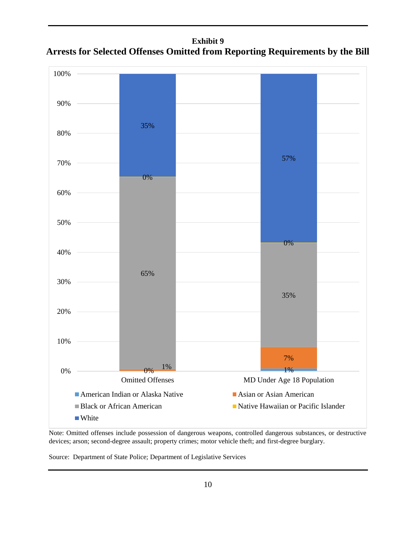**Exhibit 9 Arrests for Selected Offenses Omitted from Reporting Requirements by the Bill**



Note: Omitted offenses include possession of dangerous weapons, controlled dangerous substances, or destructive devices; arson; second-degree assault; property crimes; motor vehicle theft; and first-degree burglary.

Source: Department of State Police; Department of Legislative Services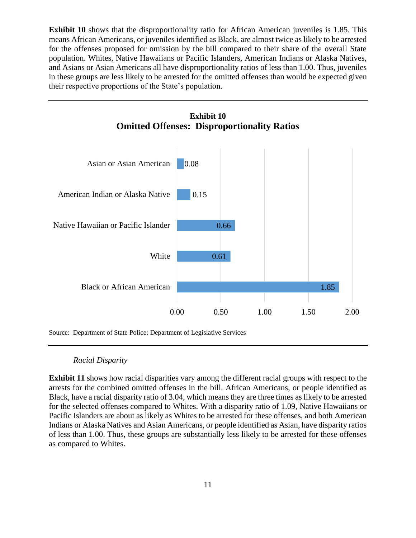**Exhibit 10** shows that the disproportionality ratio for African American juveniles is 1.85. This means African Americans, or juveniles identified as Black, are almost twice as likely to be arrested for the offenses proposed for omission by the bill compared to their share of the overall State population. Whites, Native Hawaiians or Pacific Islanders, American Indians or Alaska Natives, and Asians or Asian Americans all have disproportionality ratios of less than 1.00. Thus, juveniles in these groups are less likely to be arrested for the omitted offenses than would be expected given their respective proportions of the State's population.



Source: Department of State Police; Department of Legislative Services

#### *Racial Disparity*

**Exhibit 11** shows how racial disparities vary among the different racial groups with respect to the arrests for the combined omitted offenses in the bill. African Americans, or people identified as Black, have a racial disparity ratio of 3.04, which means they are three times as likely to be arrested for the selected offenses compared to Whites. With a disparity ratio of 1.09, Native Hawaiians or Pacific Islanders are about as likely as Whites to be arrested for these offenses, and both American Indians or Alaska Natives and Asian Americans, or people identified as Asian, have disparity ratios of less than 1.00. Thus, these groups are substantially less likely to be arrested for these offenses as compared to Whites.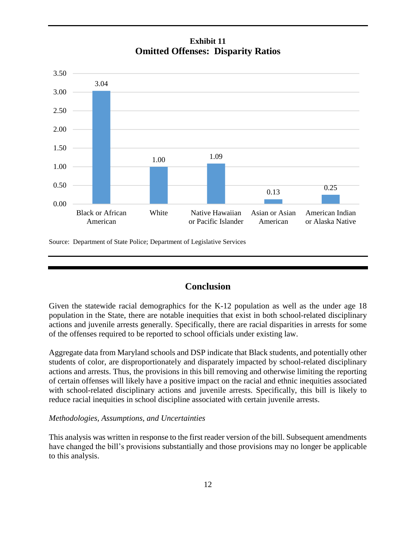# **Exhibit 11 Omitted Offenses: Disparity Ratios**



Source: Department of State Police; Department of Legislative Services

# **Conclusion**

Given the statewide racial demographics for the K-12 population as well as the under age 18 population in the State, there are notable inequities that exist in both school-related disciplinary actions and juvenile arrests generally. Specifically, there are racial disparities in arrests for some of the offenses required to be reported to school officials under existing law.

Aggregate data from Maryland schools and DSP indicate that Black students, and potentially other students of color, are disproportionately and disparately impacted by school-related disciplinary actions and arrests. Thus, the provisions in this bill removing and otherwise limiting the reporting of certain offenses will likely have a positive impact on the racial and ethnic inequities associated with school-related disciplinary actions and juvenile arrests. Specifically, this bill is likely to reduce racial inequities in school discipline associated with certain juvenile arrests.

#### *Methodologies, Assumptions, and Uncertainties*

This analysis was written in response to the first reader version of the bill. Subsequent amendments have changed the bill's provisions substantially and those provisions may no longer be applicable to this analysis.